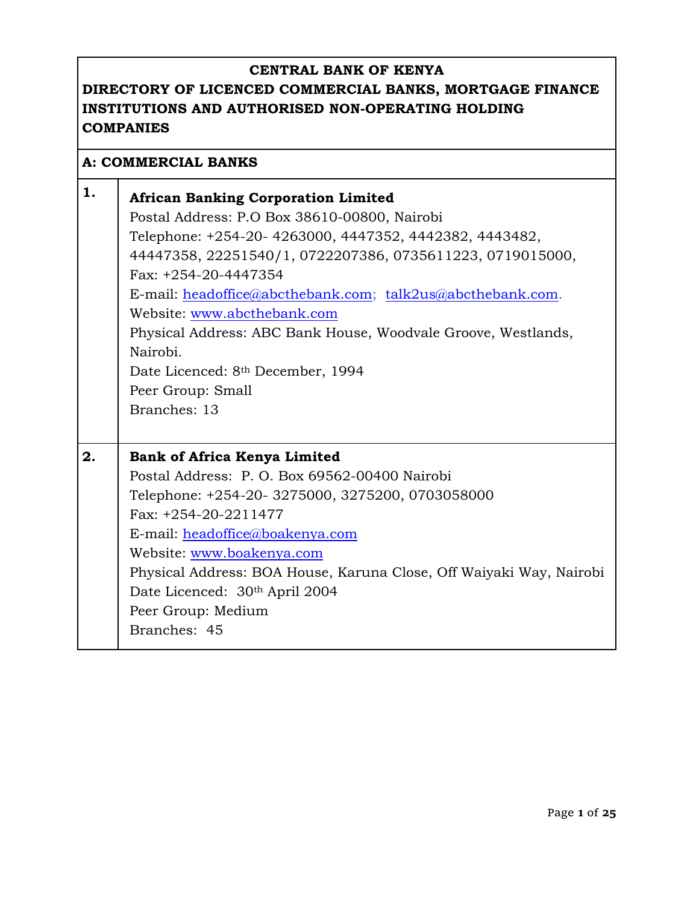## **DIRECTORY OF LICENCED COMMERCIAL BANKS, MORTGAGE FINANCE INSTITUTIONS AND AUTHORISED NON-OPERATING HOLDING COMPANIES**

#### **A: COMMERCIAL BANKS**

| 1. | <b>African Banking Corporation Limited</b><br>Postal Address: P.O Box 38610-00800, Nairobi<br>Telephone: +254-20- 4263000, 4447352, 4442382, 4443482,<br>44447358, 22251540/1, 0722207386, 0735611223, 0719015000,<br>Fax: +254-20-4447354<br>E-mail: headoffice@abcthebank.com; talk2us@abcthebank.com.<br>Website: www.abcthebank.com<br>Physical Address: ABC Bank House, Woodvale Groove, Westlands,<br>Nairobi.<br>Date Licenced: 8 <sup>th</sup> December, 1994<br>Peer Group: Small<br>Branches: 13 |
|----|------------------------------------------------------------------------------------------------------------------------------------------------------------------------------------------------------------------------------------------------------------------------------------------------------------------------------------------------------------------------------------------------------------------------------------------------------------------------------------------------------------|
| 2. | <b>Bank of Africa Kenya Limited</b><br>Postal Address: P. O. Box 69562-00400 Nairobi<br>Telephone: +254-20- 3275000, 3275200, 0703058000<br>Fax: +254-20-2211477<br>E-mail: headoffice@boakenya.com<br>Website: www.boakenya.com<br>Physical Address: BOA House, Karuna Close, Off Waiyaki Way, Nairobi<br>Date Licenced: 30th April 2004<br>Peer Group: Medium<br>Branches: 45                                                                                                                            |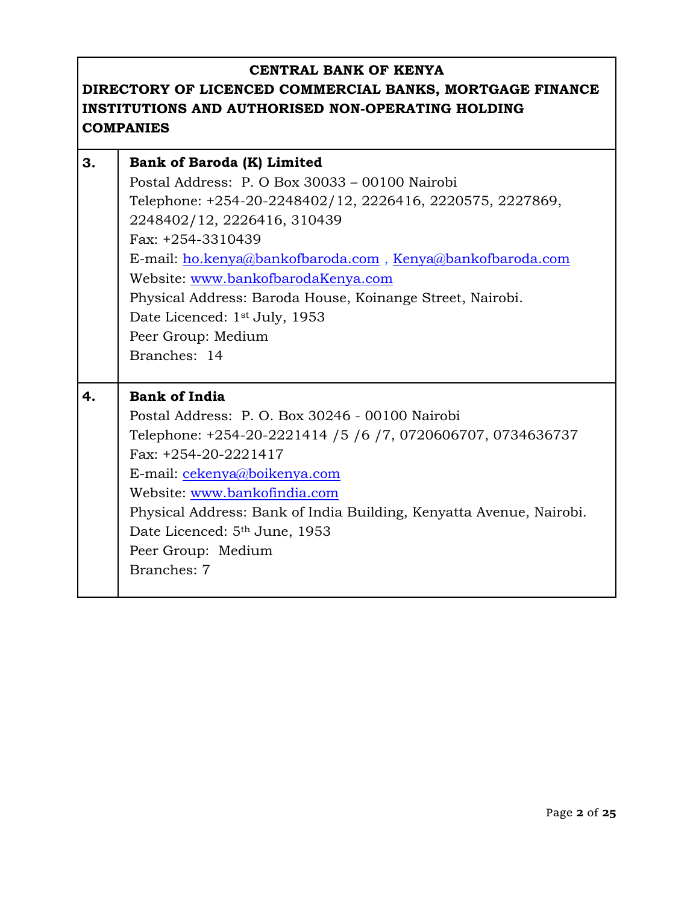| 3. | <b>Bank of Baroda (K) Limited</b>                                   |
|----|---------------------------------------------------------------------|
|    | Postal Address: P. O Box 30033 - 00100 Nairobi                      |
|    | Telephone: +254-20-2248402/12, 2226416, 2220575, 2227869,           |
|    | 2248402/12, 2226416, 310439                                         |
|    | Fax: +254-3310439                                                   |
|    | E-mail: ho.kenya@bankofbaroda.com, Kenya@bankofbaroda.com           |
|    | Website: www.bankofbarodaKenya.com                                  |
|    | Physical Address: Baroda House, Koinange Street, Nairobi.           |
|    | Date Licenced: 1 <sup>st</sup> July, 1953                           |
|    | Peer Group: Medium                                                  |
|    | Branches: 14                                                        |
|    |                                                                     |
| 4. | <b>Bank of India</b>                                                |
|    | Postal Address: P. O. Box 30246 - 00100 Nairobi                     |
|    | Telephone: +254-20-2221414 / 5 / 6 / 7, 0720606707, 0734636737      |
|    | Fax: +254-20-2221417                                                |
|    | E-mail: cekenya@boikenya.com                                        |
|    | Website: www.bankofindia.com                                        |
|    | Physical Address: Bank of India Building, Kenyatta Avenue, Nairobi. |
|    | Date Licenced: 5 <sup>th</sup> June, 1953                           |
|    | Peer Group: Medium                                                  |
|    | Branches: 7                                                         |
|    |                                                                     |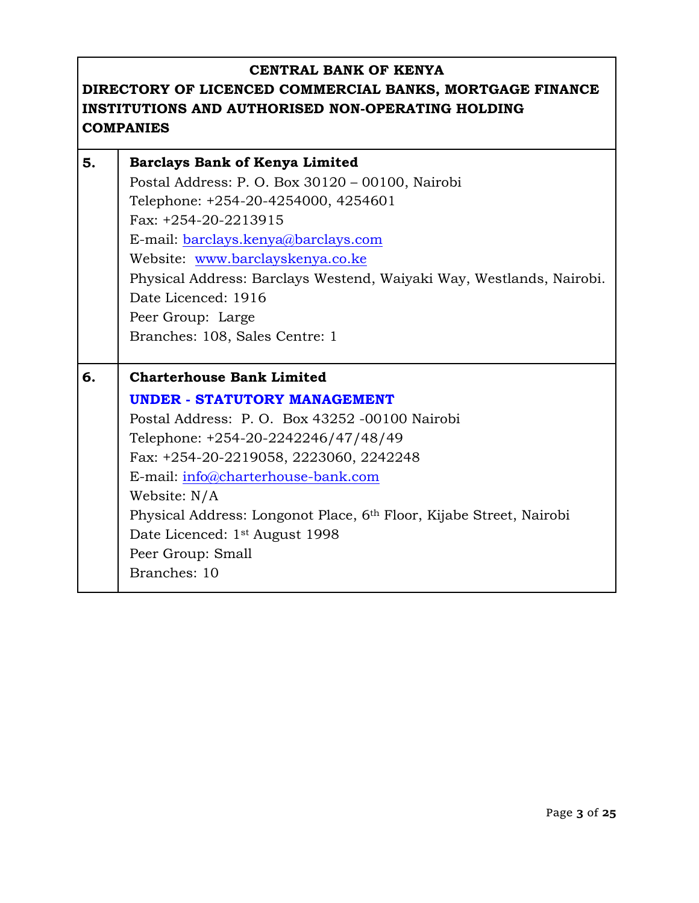| 5. | <b>Barclays Bank of Kenya Limited</b>                                           |
|----|---------------------------------------------------------------------------------|
|    | Postal Address: P. O. Box 30120 - 00100, Nairobi                                |
|    | Telephone: +254-20-4254000, 4254601                                             |
|    | Fax: +254-20-2213915                                                            |
|    | E-mail: barclays.kenya@barclays.com                                             |
|    | Website: www.barclayskenya.co.ke                                                |
|    | Physical Address: Barclays Westend, Waiyaki Way, Westlands, Nairobi.            |
|    | Date Licenced: 1916                                                             |
|    | Peer Group: Large                                                               |
|    | Branches: 108, Sales Centre: 1                                                  |
|    |                                                                                 |
| 6. | <b>Charterhouse Bank Limited</b>                                                |
|    |                                                                                 |
|    | <b>UNDER - STATUTORY MANAGEMENT</b>                                             |
|    | Postal Address: P.O. Box 43252 -00100 Nairobi                                   |
|    | Telephone: +254-20-2242246/47/48/49                                             |
|    | Fax: +254-20-2219058, 2223060, 2242248                                          |
|    | E-mail: info@charterhouse-bank.com                                              |
|    | Website: N/A                                                                    |
|    | Physical Address: Longonot Place, 6 <sup>th</sup> Floor, Kijabe Street, Nairobi |
|    | Date Licenced: 1 <sup>st</sup> August 1998                                      |
|    | Peer Group: Small                                                               |
|    | Branches: 10                                                                    |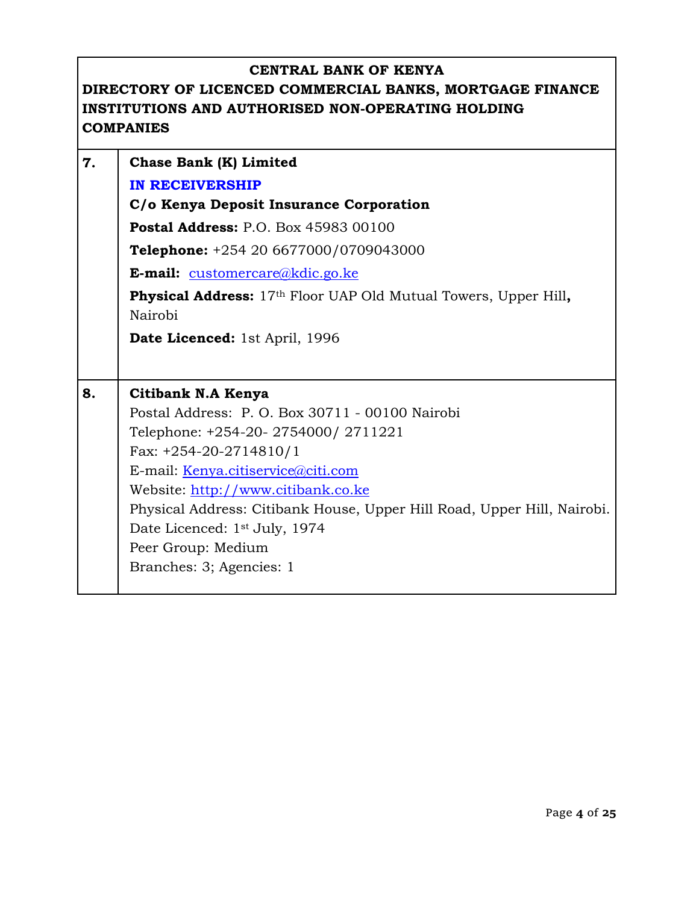| 7. | Chase Bank (K) Limited                                                                        |
|----|-----------------------------------------------------------------------------------------------|
|    | <b>IN RECEIVERSHIP</b>                                                                        |
|    | C/o Kenya Deposit Insurance Corporation                                                       |
|    | <b>Postal Address: P.O. Box 45983 00100</b>                                                   |
|    | <b>Telephone:</b> $+254206677000/0709043000$                                                  |
|    | E-mail: customercare@kdic.go.ke                                                               |
|    | <b>Physical Address:</b> 17 <sup>th</sup> Floor UAP Old Mutual Towers, Upper Hill,<br>Nairobi |
|    | <b>Date Licenced:</b> 1st April, 1996                                                         |
|    |                                                                                               |
| 8. | Citibank N.A Kenya                                                                            |
|    | Postal Address: P. O. Box 30711 - 00100 Nairobi                                               |
|    | Telephone: +254-20- 2754000/ 2711221                                                          |
|    | Fax: $+254-20-2714810/1$                                                                      |
|    | E-mail: Kenya.citiservice@citi.com                                                            |
|    | Website: http://www.citibank.co.ke                                                            |
|    | Physical Address: Citibank House, Upper Hill Road, Upper Hill, Nairobi.                       |
|    | Date Licenced: 1 <sup>st</sup> July, 1974                                                     |
|    |                                                                                               |
|    | Peer Group: Medium                                                                            |
|    | Branches: 3; Agencies: 1                                                                      |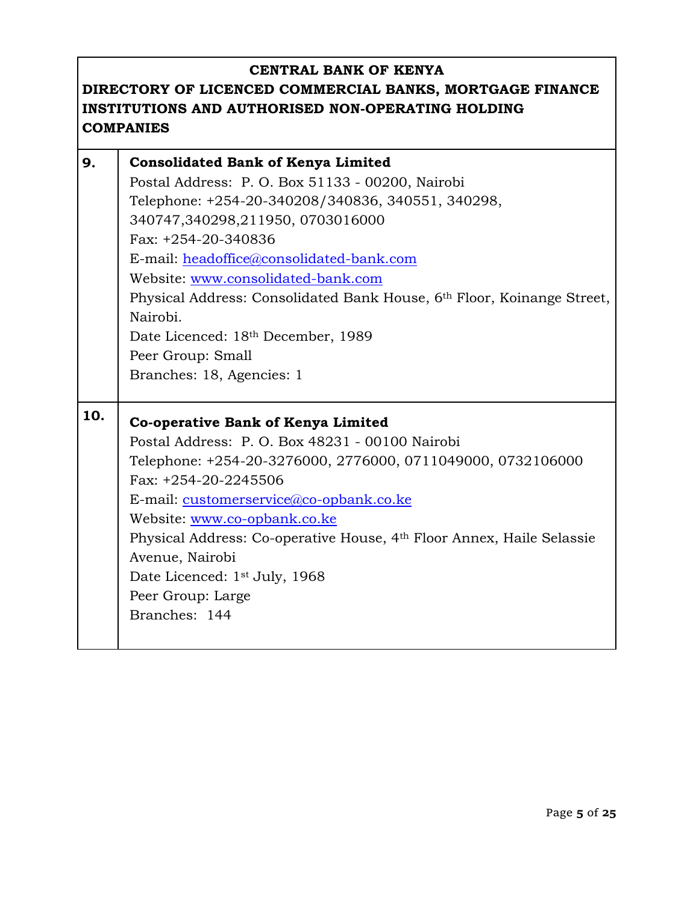| 9.  | <b>Consolidated Bank of Kenya Limited</b>                              |
|-----|------------------------------------------------------------------------|
|     | Postal Address: P. O. Box 51133 - 00200, Nairobi                       |
|     | Telephone: +254-20-340208/340836, 340551, 340298,                      |
|     | 340747,340298,211950,0703016000                                        |
|     | Fax: +254-20-340836                                                    |
|     | E-mail: headoffice@consolidated-bank.com                               |
|     | Website: www.consolidated-bank.com                                     |
|     | Physical Address: Consolidated Bank House, 6th Floor, Koinange Street, |
|     | Nairobi.                                                               |
|     | Date Licenced: 18th December, 1989                                     |
|     | Peer Group: Small                                                      |
|     | Branches: 18, Agencies: 1                                              |
|     |                                                                        |
| 10. | Co-operative Bank of Kenya Limited                                     |
|     | Postal Address: P. O. Box 48231 - 00100 Nairobi                        |
|     | Telephone: +254-20-3276000, 2776000, 0711049000, 0732106000            |
|     | Fax: $+254-20-2245506$                                                 |
|     | E-mail: customerservice@co-opbank.co.ke                                |
|     | Website: www.co-opbank.co.ke                                           |
|     | Physical Address: Co-operative House, 4th Floor Annex, Haile Selassie  |
|     | Avenue, Nairobi                                                        |
|     | Date Licenced: 1 <sup>st</sup> July, 1968                              |
|     | Peer Group: Large                                                      |
|     | Branches: 144                                                          |
|     |                                                                        |
|     |                                                                        |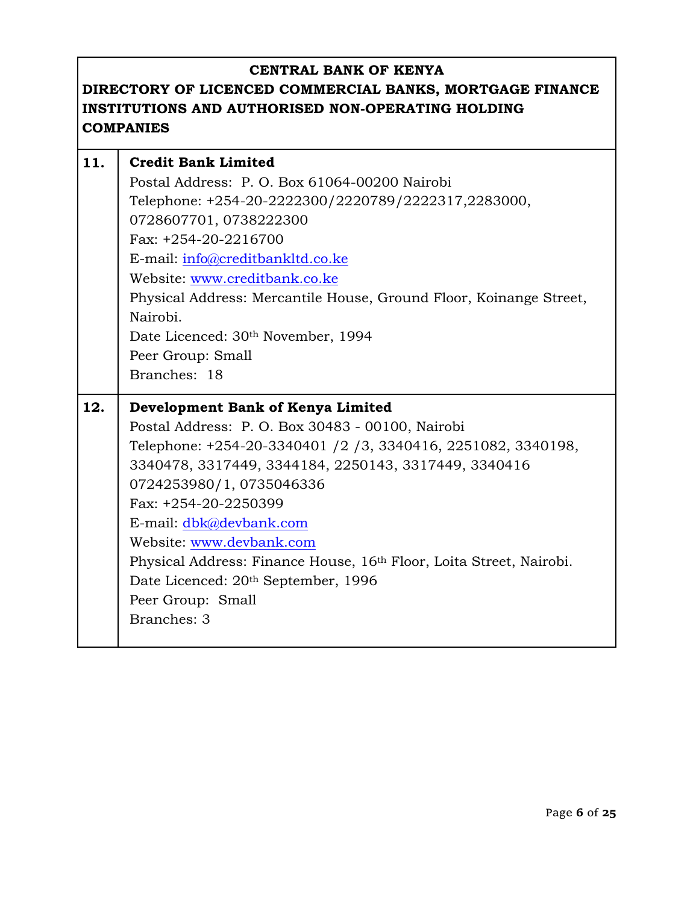| 11. | <b>Credit Bank Limited</b>                                                                      |
|-----|-------------------------------------------------------------------------------------------------|
|     | Postal Address: P. O. Box 61064-00200 Nairobi                                                   |
|     | Telephone: +254-20-2222300/2220789/2222317,2283000,                                             |
|     | 0728607701, 0738222300                                                                          |
|     | Fax: $+254-20-2216700$                                                                          |
|     | E-mail: info@creditbankltd.co.ke                                                                |
|     | Website: www.creditbank.co.ke                                                                   |
|     | Physical Address: Mercantile House, Ground Floor, Koinange Street,                              |
|     | Nairobi.                                                                                        |
|     | Date Licenced: 30th November, 1994                                                              |
|     | Peer Group: Small                                                                               |
|     | Branches: 18                                                                                    |
|     |                                                                                                 |
|     |                                                                                                 |
| 12. | Development Bank of Kenya Limited                                                               |
|     | Postal Address: P. O. Box 30483 - 00100, Nairobi                                                |
|     | Telephone: +254-20-3340401 /2 /3, 3340416, 2251082, 3340198,                                    |
|     | 3340478, 3317449, 3344184, 2250143, 3317449, 3340416                                            |
|     | 0724253980/1, 0735046336                                                                        |
|     | Fax: +254-20-2250399                                                                            |
|     | E-mail: dbk@devbank.com                                                                         |
|     | Website: www.devbank.com<br>Physical Address: Finance House, 16th Floor, Loita Street, Nairobi. |
|     | Date Licenced: 20th September, 1996                                                             |
|     | Peer Group: Small                                                                               |
|     | Branches: 3                                                                                     |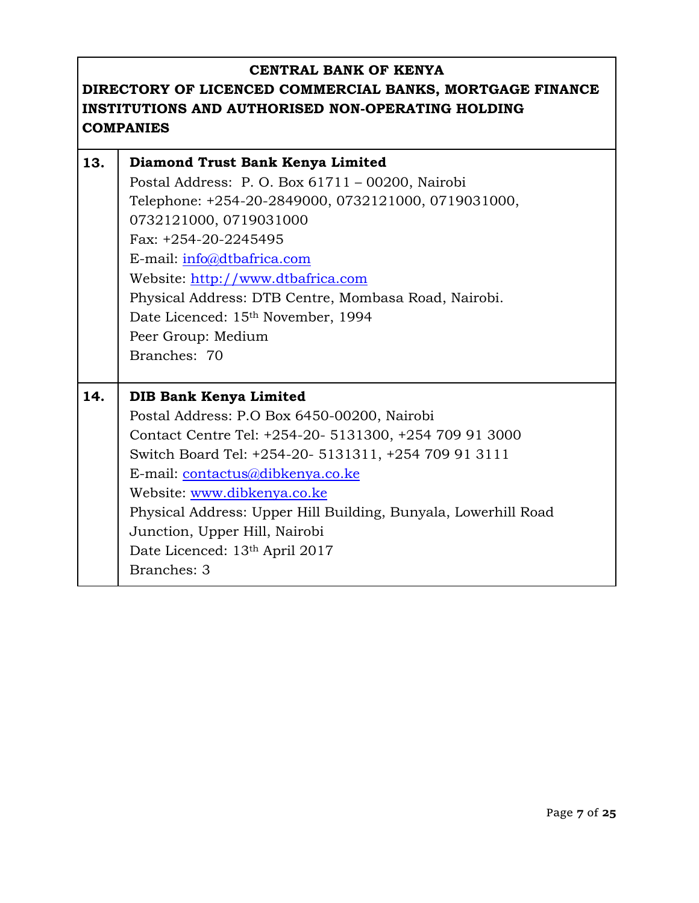| 13. | Diamond Trust Bank Kenya Limited                               |
|-----|----------------------------------------------------------------|
|     | Postal Address: P.O. Box 61711 - 00200, Nairobi                |
|     | Telephone: +254-20-2849000, 0732121000, 0719031000,            |
|     | 0732121000, 0719031000                                         |
|     | Fax: +254-20-2245495                                           |
|     | E-mail: info@dtbafrica.com                                     |
|     | Website: http://www.dtbafrica.com                              |
|     | Physical Address: DTB Centre, Mombasa Road, Nairobi.           |
|     | Date Licenced: 15 <sup>th</sup> November, 1994                 |
|     | Peer Group: Medium                                             |
|     | Branches: 70                                                   |
|     |                                                                |
|     |                                                                |
| 14. | <b>DIB Bank Kenya Limited</b>                                  |
|     | Postal Address: P.O Box 6450-00200, Nairobi                    |
|     | Contact Centre Tel: +254-20- 5131300, +254 709 91 3000         |
|     | Switch Board Tel: +254-20- 5131311, +254 709 91 3111           |
|     | E-mail: contactus@dibkenya.co.ke                               |
|     | Website: www.dibkenya.co.ke                                    |
|     | Physical Address: Upper Hill Building, Bunyala, Lowerhill Road |
|     | Junction, Upper Hill, Nairobi                                  |
|     | Date Licenced: 13th April 2017                                 |
|     | <b>Branches: 3</b>                                             |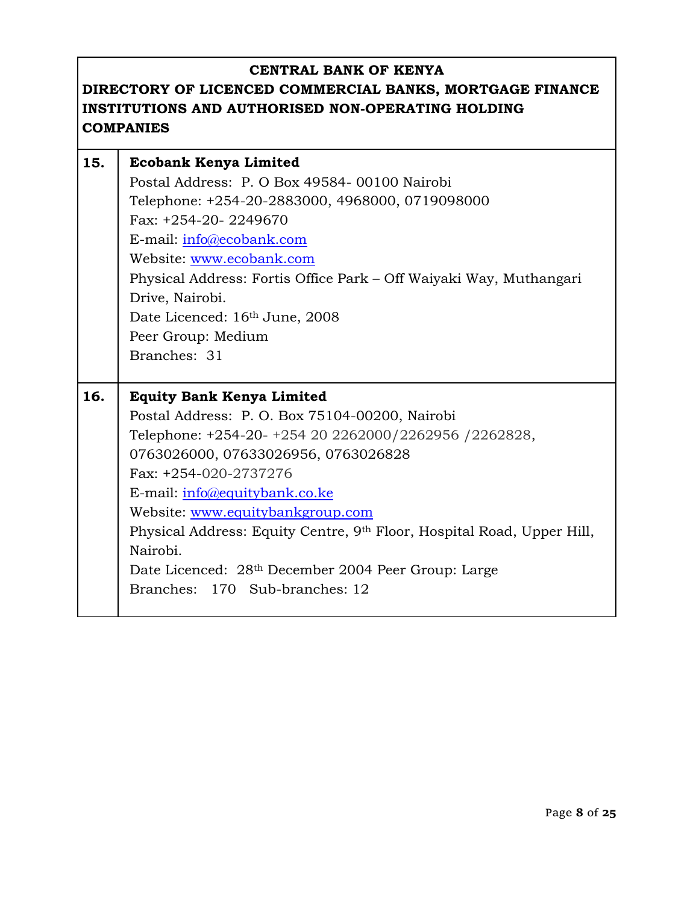| 15. | <b>Ecobank Kenya Limited</b>                                                       |
|-----|------------------------------------------------------------------------------------|
|     | Postal Address: P. O Box 49584-00100 Nairobi                                       |
|     | Telephone: +254-20-2883000, 4968000, 0719098000                                    |
|     | Fax: +254-20-2249670                                                               |
|     | E-mail: info@ecobank.com                                                           |
|     | Website: www.ecobank.com                                                           |
|     | Physical Address: Fortis Office Park – Off Waiyaki Way, Muthangari                 |
|     | Drive, Nairobi.                                                                    |
|     | Date Licenced: 16th June, 2008                                                     |
|     | Peer Group: Medium                                                                 |
|     | Branches: 31                                                                       |
|     |                                                                                    |
|     |                                                                                    |
| 16. | <b>Equity Bank Kenya Limited</b>                                                   |
|     | Postal Address: P. O. Box 75104-00200, Nairobi                                     |
|     | Telephone: +254-20- +254 20 2262000/2262956 /2262828,                              |
|     | 0763026000, 07633026956, 0763026828                                                |
|     | Fax: +254-020-2737276                                                              |
|     | E-mail: info@equitybank.co.ke                                                      |
|     | Website: www.equitybankgroup.com                                                   |
|     | Physical Address: Equity Centre, 9 <sup>th</sup> Floor, Hospital Road, Upper Hill, |
|     | Nairobi.                                                                           |
|     | Date Licenced: 28 <sup>th</sup> December 2004 Peer Group: Large                    |
|     | Branches: 170 Sub-branches: 12                                                     |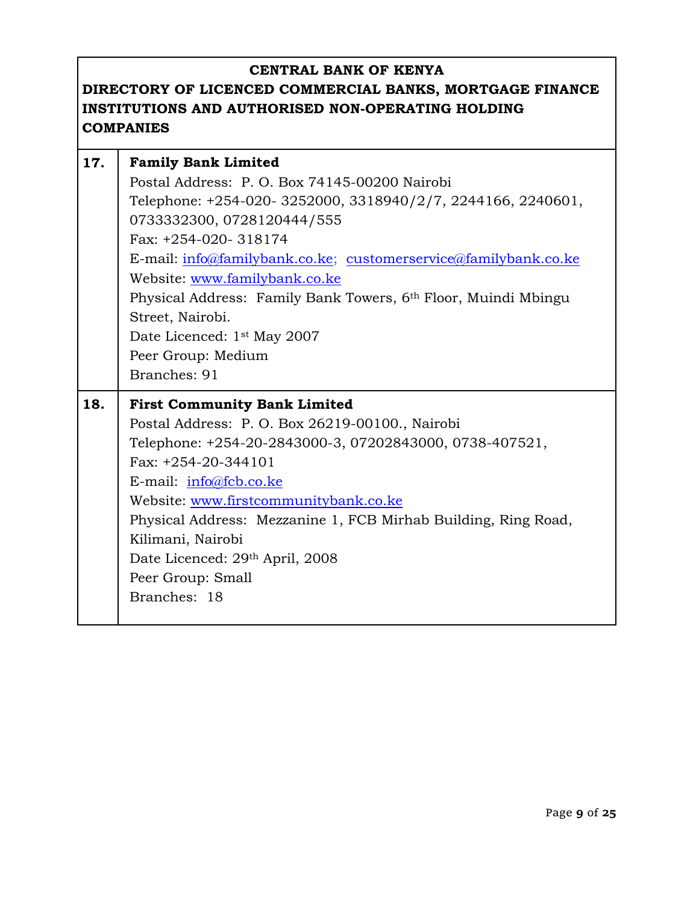| 17. | <b>Family Bank Limited</b>                                      |
|-----|-----------------------------------------------------------------|
|     | Postal Address: P. O. Box 74145-00200 Nairobi                   |
|     | Telephone: +254-020-3252000, 3318940/2/7, 2244166, 2240601,     |
|     | 0733332300, 0728120444/555                                      |
|     | Fax: +254-020-318174                                            |
|     | E-mail: info@familybank.co.ke; customerservice@familybank.co.ke |
|     | Website: www.familybank.co.ke                                   |
|     | Physical Address: Family Bank Towers, 6th Floor, Muindi Mbingu  |
|     | Street, Nairobi.                                                |
|     | Date Licenced: 1 <sup>st</sup> May 2007                         |
|     | Peer Group: Medium                                              |
|     | Branches: 91                                                    |
|     |                                                                 |
| 18. | <b>First Community Bank Limited</b>                             |
|     | Postal Address: P.O. Box 26219-00100., Nairobi                  |
|     | Telephone: +254-20-2843000-3, 07202843000, 0738-407521,         |
|     | Fax: $+254-20-344101$                                           |
|     | E-mail: $info@fcb.co.ke$                                        |
|     | Website: www.firstcommunitybank.co.ke                           |
|     | Physical Address: Mezzanine 1, FCB Mirhab Building, Ring Road,  |
|     | Kilimani, Nairobi                                               |
|     | Date Licenced: 29th April, 2008                                 |
|     | Peer Group: Small                                               |
|     | Branches: 18                                                    |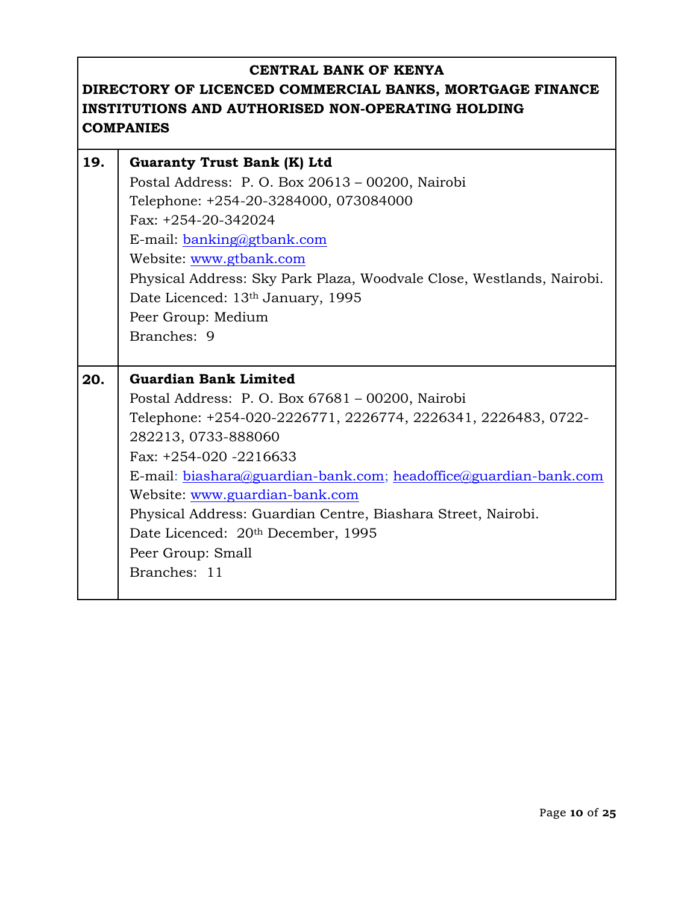| 19. | <b>Guaranty Trust Bank (K) Ltd</b>                                    |
|-----|-----------------------------------------------------------------------|
|     | Postal Address: P. O. Box 20613 - 00200, Nairobi                      |
|     | Telephone: +254-20-3284000, 073084000                                 |
|     | Fax: +254-20-342024                                                   |
|     | E-mail: banking@gtbank.com                                            |
|     | Website: www.gtbank.com                                               |
|     | Physical Address: Sky Park Plaza, Woodvale Close, Westlands, Nairobi. |
|     | Date Licenced: 13th January, 1995                                     |
|     | Peer Group: Medium                                                    |
|     | Branches: 9                                                           |
|     |                                                                       |
|     |                                                                       |
| 20. | <b>Guardian Bank Limited</b>                                          |
|     | Postal Address: P. O. Box 67681 - 00200, Nairobi                      |
|     | Telephone: +254-020-2226771, 2226774, 2226341, 2226483, 0722-         |
|     | 282213, 0733-888060                                                   |
|     | Fax: $+254-020 -2216633$                                              |
|     | E-mail: biashara@guardian-bank.com; headoffice@guardian-bank.com      |
|     | Website: www.guardian-bank.com                                        |
|     | Physical Address: Guardian Centre, Biashara Street, Nairobi.          |
|     | Date Licenced: 20th December, 1995                                    |
|     | Peer Group: Small                                                     |
|     | Branches: 11                                                          |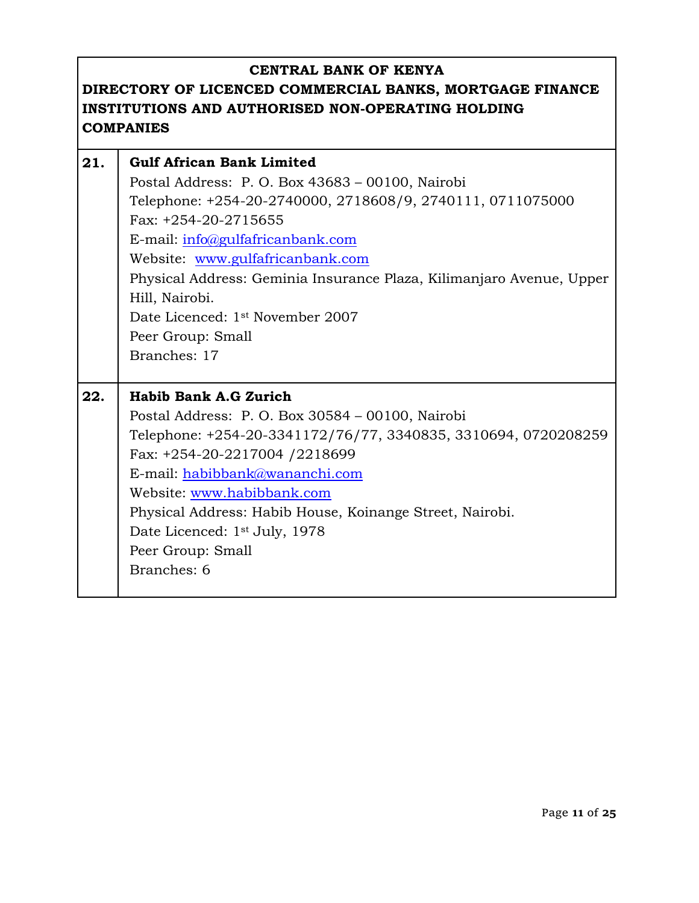| 21. | <b>Gulf African Bank Limited</b><br>Postal Address: P. O. Box 43683 - 00100, Nairobi<br>Telephone: +254-20-2740000, 2718608/9, 2740111, 0711075000<br>Fax: +254-20-2715655<br>E-mail: info@gulfafricanbank.com<br>Website: www.gulfafricanbank.com<br>Physical Address: Geminia Insurance Plaza, Kilimanjaro Avenue, Upper<br>Hill, Nairobi.<br>Date Licenced: 1 <sup>st</sup> November 2007<br>Peer Group: Small<br>Branches: 17 |
|-----|-----------------------------------------------------------------------------------------------------------------------------------------------------------------------------------------------------------------------------------------------------------------------------------------------------------------------------------------------------------------------------------------------------------------------------------|
| 22. | Habib Bank A.G Zurich<br>Postal Address: P. O. Box 30584 - 00100, Nairobi<br>Telephone: +254-20-3341172/76/77, 3340835, 3310694, 0720208259<br>Fax: +254-20-2217004 /2218699<br>E-mail: habibbank@wananchi.com<br>Website: www.habibbank.com<br>Physical Address: Habib House, Koinange Street, Nairobi.<br>Date Licenced: 1 <sup>st</sup> July, 1978<br>Peer Group: Small<br>Branches: 6                                         |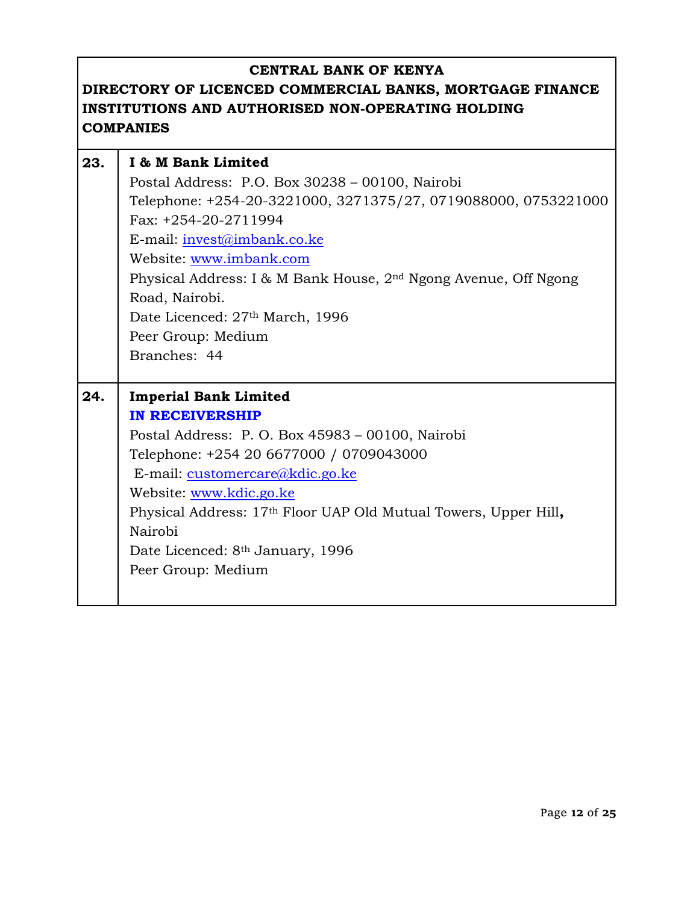| 23. | I & M Bank Limited                                                          |
|-----|-----------------------------------------------------------------------------|
|     | Postal Address: P.O. Box 30238 - 00100, Nairobi                             |
|     | Telephone: +254-20-3221000, 3271375/27, 0719088000, 0753221000              |
|     | Fax: +254-20-2711994                                                        |
|     | E-mail: invest@imbank.co.ke                                                 |
|     | Website: www.imbank.com                                                     |
|     | Physical Address: I & M Bank House, 2 <sup>nd</sup> Ngong Avenue, Off Ngong |
|     | Road, Nairobi.                                                              |
|     | Date Licenced: 27th March, 1996                                             |
|     | Peer Group: Medium                                                          |
|     | Branches: 44                                                                |
|     |                                                                             |
|     |                                                                             |
| 24. | <b>Imperial Bank Limited</b>                                                |
|     | <b>IN RECEIVERSHIP</b>                                                      |
|     | Postal Address: P. O. Box 45983 - 00100, Nairobi                            |
|     | Telephone: +254 20 6677000 / 0709043000                                     |
|     | E-mail: customercare@kdic.go.ke                                             |
|     | Website: www.kdic.go.ke                                                     |
|     | Physical Address: 17 <sup>th</sup> Floor UAP Old Mutual Towers, Upper Hill, |
|     | Nairobi                                                                     |
|     | Date Licenced: 8 <sup>th</sup> January, 1996                                |
|     | Peer Group: Medium                                                          |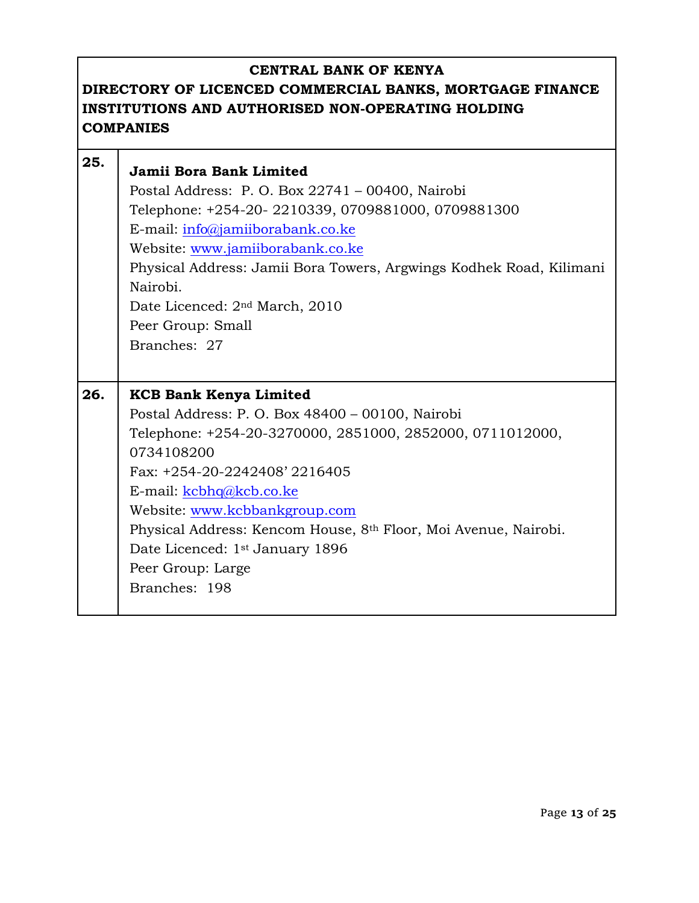| 25. | Jamii Bora Bank Limited<br>Postal Address: P. O. Box 22741 - 00400, Nairobi<br>Telephone: +254-20-2210339, 0709881000, 0709881300<br>E-mail: info@jamiiborabank.co.ke<br>Website: www.jamiiborabank.co.ke<br>Physical Address: Jamii Bora Towers, Argwings Kodhek Road, Kilimani<br>Nairobi.<br>Date Licenced: 2 <sup>nd</sup> March, 2010<br>Peer Group: Small<br>Branches: 27                                   |
|-----|-------------------------------------------------------------------------------------------------------------------------------------------------------------------------------------------------------------------------------------------------------------------------------------------------------------------------------------------------------------------------------------------------------------------|
| 26. | <b>KCB Bank Kenya Limited</b><br>Postal Address: P. O. Box 48400 - 00100, Nairobi<br>Telephone: +254-20-3270000, 2851000, 2852000, 0711012000,<br>0734108200<br>Fax: +254-20-2242408' 2216405<br>E-mail: kcbhq@kcb.co.ke<br>Website: www.kcbbankgroup.com<br>Physical Address: Kencom House, 8th Floor, Moi Avenue, Nairobi.<br>Date Licenced: 1 <sup>st</sup> January 1896<br>Peer Group: Large<br>Branches: 198 |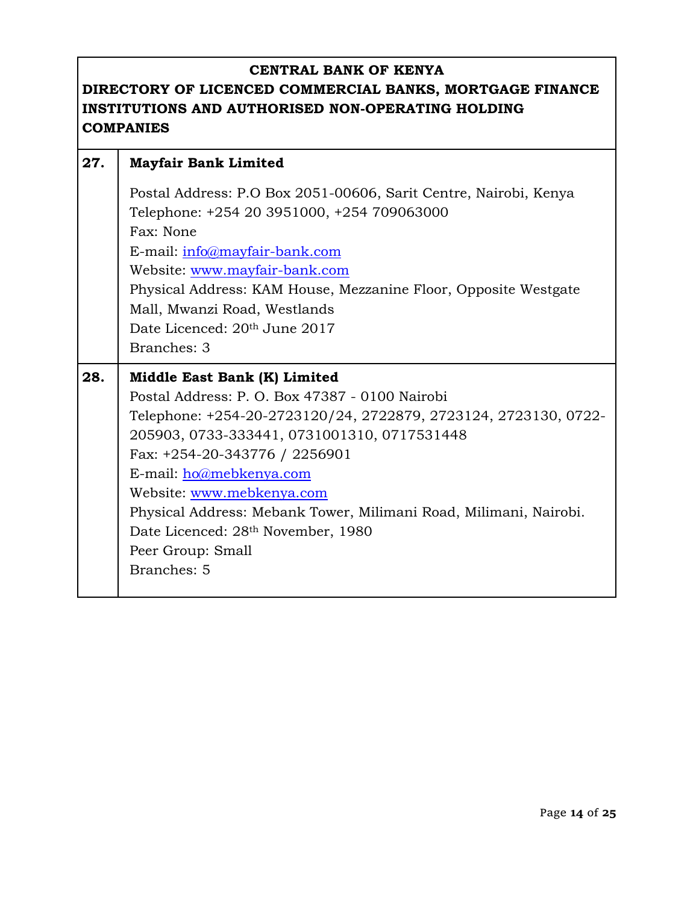| 27. | <b>Mayfair Bank Limited</b>                                       |
|-----|-------------------------------------------------------------------|
|     | Postal Address: P.O Box 2051-00606, Sarit Centre, Nairobi, Kenya  |
|     | Telephone: +254 20 3951000, +254 709063000                        |
|     | Fax: None                                                         |
|     | E-mail: info@mayfair-bank.com                                     |
|     | Website: www.mayfair-bank.com                                     |
|     | Physical Address: KAM House, Mezzanine Floor, Opposite Westgate   |
|     | Mall, Mwanzi Road, Westlands                                      |
|     | Date Licenced: 20th June 2017                                     |
|     | Branches: 3                                                       |
| 28. | Middle East Bank (K) Limited                                      |
|     | Postal Address: P. O. Box 47387 - 0100 Nairobi                    |
|     | Telephone: +254-20-2723120/24, 2722879, 2723124, 2723130, 0722-   |
|     | 205903, 0733-333441, 0731001310, 0717531448                       |
|     | Fax: +254-20-343776 / 2256901                                     |
|     | E-mail: ho@mebkenya.com                                           |
|     | Website: www.mebkenya.com                                         |
|     | Physical Address: Mebank Tower, Milimani Road, Milimani, Nairobi. |
|     | Date Licenced: 28th November, 1980                                |
|     | Peer Group: Small                                                 |
|     | Branches: 5                                                       |
|     |                                                                   |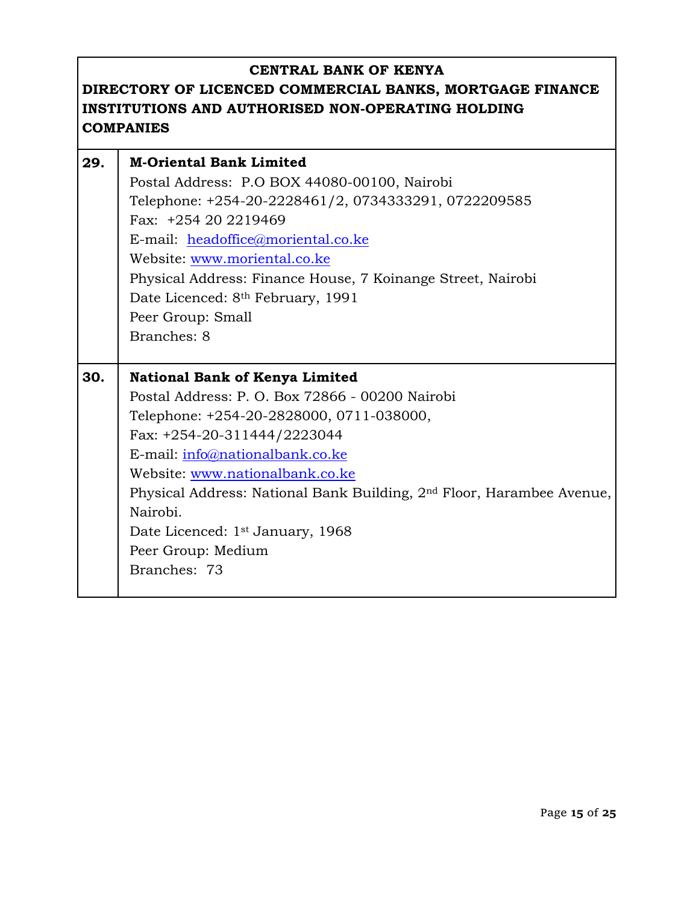| 29. | <b>M-Oriental Bank Limited</b>                                                    |
|-----|-----------------------------------------------------------------------------------|
|     | Postal Address: P.O BOX 44080-00100, Nairobi                                      |
|     | Telephone: +254-20-2228461/2, 0734333291, 0722209585                              |
|     | Fax: +254 20 2219469                                                              |
|     | E-mail: headoffice@moriental.co.ke                                                |
|     | Website: www.moriental.co.ke                                                      |
|     | Physical Address: Finance House, 7 Koinange Street, Nairobi                       |
|     | Date Licenced: 8 <sup>th</sup> February, 1991                                     |
|     | Peer Group: Small                                                                 |
|     | Branches: 8                                                                       |
|     |                                                                                   |
| 30. | <b>National Bank of Kenya Limited</b>                                             |
|     |                                                                                   |
|     | Postal Address: P. O. Box 72866 - 00200 Nairobi                                   |
|     | Telephone: +254-20-2828000, 0711-038000,                                          |
|     | Fax: +254-20-311444/2223044                                                       |
|     | E-mail: info@nationalbank.co.ke                                                   |
|     | Website: www.nationalbank.co.ke                                                   |
|     | Physical Address: National Bank Building, 2 <sup>nd</sup> Floor, Harambee Avenue, |
|     | Nairobi.                                                                          |
|     | Date Licenced: 1 <sup>st</sup> January, 1968                                      |
|     | Peer Group: Medium                                                                |
|     | Branches: 73                                                                      |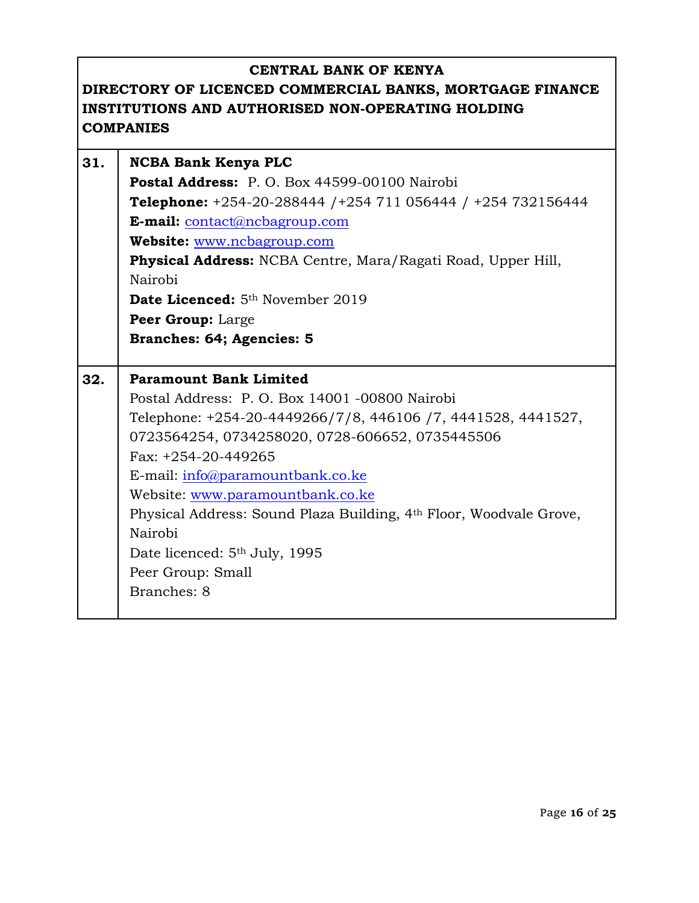# **CENTRAL BANK OF KENYA DIRECTORY OF LICENCED COMMERCIAL BANKS, MORTGAGE FINANCE INSTITUTIONS AND AUTHORISED NON-OPERATING HOLDING COMPANIES 31. NCBA Bank Kenya PLC Postal Address:** P. O. Box 44599-00100 Nairobi **Telephone:** +254-20-288444 /+254 711 056444 / +254 732156444 **E-mail:** [contact@ncbagroup.com](mailto:contact@ncbagroup.com) **Website:** [www.ncbagroup.com](http://www.ncbagroup.com/) **Physical Address:** NCBA Centre, Mara/Ragati Road, Upper Hill, Nairobi Date Licenced: 5<sup>th</sup> November 2019 **Peer Group:** Large **Branches: 64; Agencies: 5 32. Paramount Bank Limited** Postal Address: P. O. Box 14001 -00800 Nairobi Telephone: +254-20-4449266/7/8, 446106 /7, 4441528, 4441527, 0723564254, 0734258020, 0728-606652, 0735445506 Fax: +254-20-449265 E-mail: [info@paramountbank.co.ke](mailto:info@paramountbank.co.ke) Website: [www.paramountbank.co.ke](http://www.paramountbank.co.ke/) Physical Address: Sound Plaza Building, 4th Floor, Woodvale Grove, Nairobi Date licenced: 5<sup>th</sup> July, 1995

Peer Group: Small

Branches: 8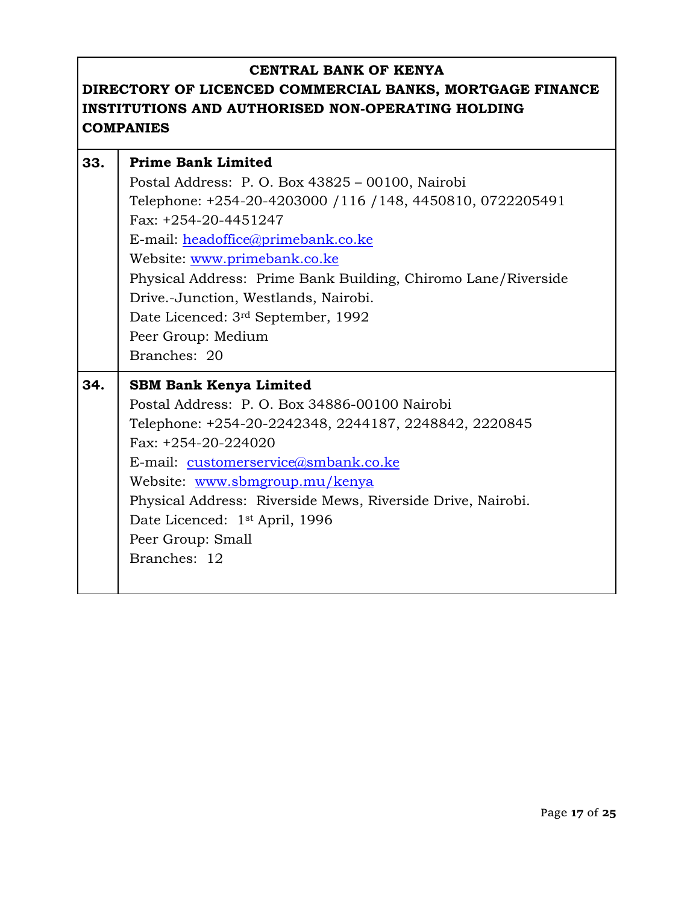| 33. | <b>Prime Bank Limited</b>                                     |
|-----|---------------------------------------------------------------|
|     | Postal Address: P. O. Box 43825 - 00100, Nairobi              |
|     | Telephone: +254-20-4203000 / 116 / 148, 4450810, 0722205491   |
|     | Fax: +254-20-4451247                                          |
|     | E-mail: headoffice@primebank.co.ke                            |
|     | Website: www.primebank.co.ke                                  |
|     | Physical Address: Prime Bank Building, Chiromo Lane/Riverside |
|     | Drive.-Junction, Westlands, Nairobi.                          |
|     | Date Licenced: 3rd September, 1992                            |
|     | Peer Group: Medium                                            |
|     | Branches: 20                                                  |
|     |                                                               |
| 34. | <b>SBM Bank Kenya Limited</b>                                 |
|     | Postal Address: P.O. Box 34886-00100 Nairobi                  |
|     | Telephone: +254-20-2242348, 2244187, 2248842, 2220845         |
|     | Fax: +254-20-224020                                           |
|     | E-mail: customerservice@smbank.co.ke                          |
|     | Website: www.sbmgroup.mu/kenya                                |
|     | Physical Address: Riverside Mews, Riverside Drive, Nairobi.   |
|     | Date Licenced: 1 <sup>st</sup> April, 1996                    |
|     | Peer Group: Small                                             |
|     | Branches: 12                                                  |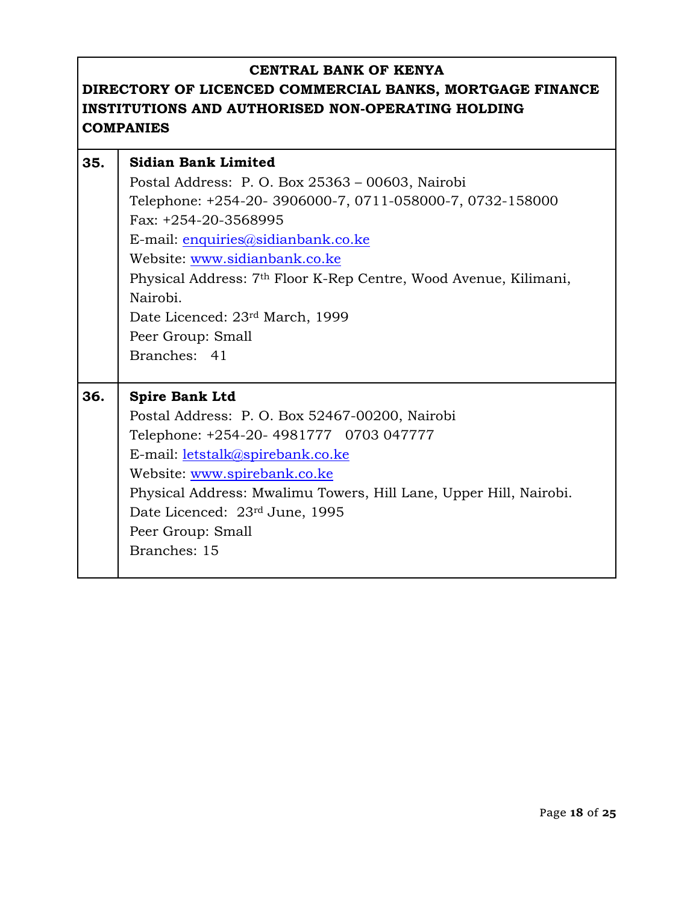| 35. | <b>Sidian Bank Limited</b>                                                   |
|-----|------------------------------------------------------------------------------|
|     | Postal Address: P. O. Box 25363 - 00603, Nairobi                             |
|     | Telephone: +254-20-3906000-7, 0711-058000-7, 0732-158000                     |
|     | Fax: +254-20-3568995                                                         |
|     | E-mail: enquiries@sidianbank.co.ke                                           |
|     | Website: www.sidianbank.co.ke                                                |
|     | Physical Address: 7 <sup>th</sup> Floor K-Rep Centre, Wood Avenue, Kilimani, |
|     | Nairobi.                                                                     |
|     | Date Licenced: 23rd March, 1999                                              |
|     | Peer Group: Small                                                            |
|     | Branches: 41                                                                 |
|     |                                                                              |
|     |                                                                              |
| 36. | <b>Spire Bank Ltd</b>                                                        |
|     | Postal Address: P. O. Box 52467-00200, Nairobi                               |
|     | Telephone: +254-20- 4981777 0703 047777                                      |
|     | E-mail: letstalk@spirebank.co.ke                                             |
|     | Website: www.spirebank.co.ke                                                 |
|     | Physical Address: Mwalimu Towers, Hill Lane, Upper Hill, Nairobi.            |
|     | Date Licenced: 23rd June, 1995                                               |
|     | Peer Group: Small                                                            |
|     | Branches: 15                                                                 |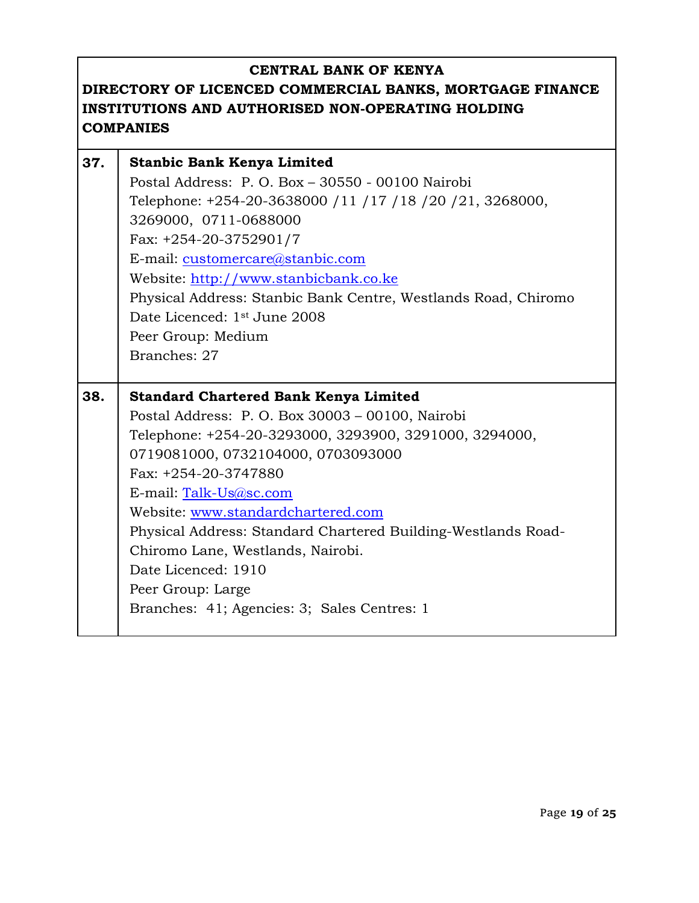| 37. | <b>Stanbic Bank Kenya Limited</b>                              |
|-----|----------------------------------------------------------------|
|     | Postal Address: P. O. Box $-30550 - 00100$ Nairobi             |
|     | Telephone: +254-20-3638000 / 11 / 17 / 18 / 20 / 21, 3268000,  |
|     | 3269000, 0711-0688000                                          |
|     | Fax: $+254-20-3752901/7$                                       |
|     | E-mail: customercare@stanbic.com                               |
|     | Website: http://www.stanbicbank.co.ke                          |
|     | Physical Address: Stanbic Bank Centre, Westlands Road, Chiromo |
|     | Date Licenced: 1 <sup>st</sup> June 2008                       |
|     | Peer Group: Medium                                             |
|     | Branches: 27                                                   |
|     |                                                                |
| 38. | <b>Standard Chartered Bank Kenya Limited</b>                   |
|     |                                                                |
|     | Postal Address: P. O. Box 30003 - 00100, Nairobi               |
|     | Telephone: +254-20-3293000, 3293900, 3291000, 3294000,         |
|     | 0719081000, 0732104000, 0703093000                             |
|     | Fax: +254-20-3747880                                           |
|     | E-mail: Talk-Us@sc.com                                         |
|     | Website: www.standardchartered.com                             |
|     | Physical Address: Standard Chartered Building-Westlands Road-  |
|     | Chiromo Lane, Westlands, Nairobi.                              |
|     | Date Licenced: 1910                                            |
|     | Peer Group: Large                                              |
|     | Branches: 41; Agencies: 3; Sales Centres: 1                    |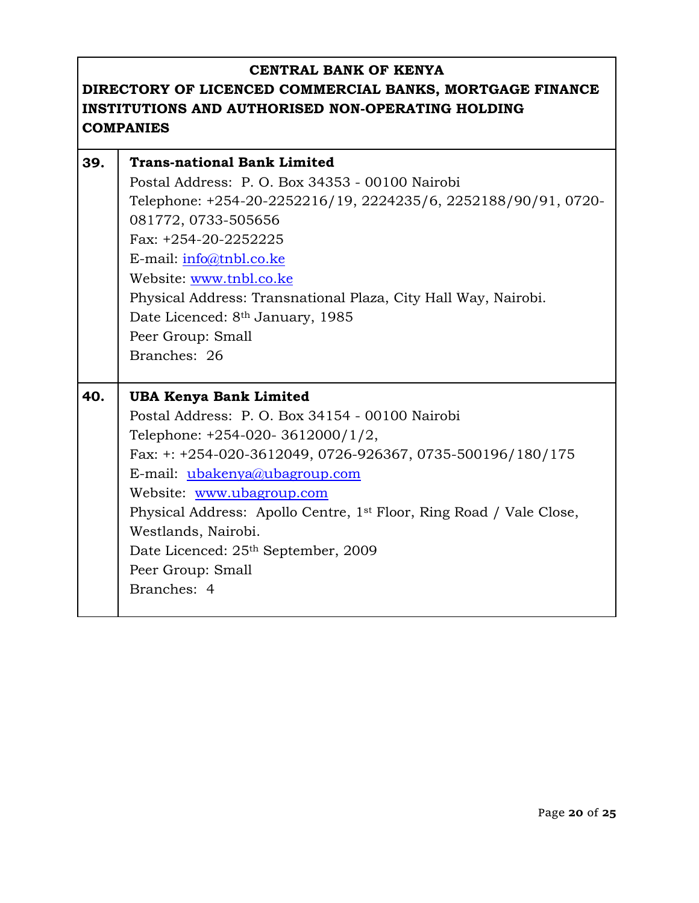| 39. | <b>Trans-national Bank Limited</b>                                              |
|-----|---------------------------------------------------------------------------------|
|     | Postal Address: P. O. Box 34353 - 00100 Nairobi                                 |
|     | Telephone: +254-20-2252216/19, 2224235/6, 2252188/90/91, 0720-                  |
|     | 081772, 0733-505656                                                             |
|     | Fax: +254-20-2252225                                                            |
|     | E-mail: $info@tnbl.co.ke$                                                       |
|     | Website: www.tnbl.co.ke                                                         |
|     | Physical Address: Transnational Plaza, City Hall Way, Nairobi.                  |
|     | Date Licenced: 8 <sup>th</sup> January, 1985                                    |
|     | Peer Group: Small                                                               |
|     | Branches: 26                                                                    |
|     |                                                                                 |
|     |                                                                                 |
| 40. | <b>UBA Kenya Bank Limited</b>                                                   |
|     | Postal Address: P. O. Box 34154 - 00100 Nairobi                                 |
|     | Telephone: $+254-020-3612000/1/2$ ,                                             |
|     | Fax: +: +254-020-3612049, 0726-926367, 0735-500196/180/175                      |
|     | E-mail: ubakenya@ubagroup.com                                                   |
|     | Website: www.ubagroup.com                                                       |
|     | Physical Address: Apollo Centre, 1 <sup>st</sup> Floor, Ring Road / Vale Close, |
|     | Westlands, Nairobi.                                                             |
|     | Date Licenced: 25 <sup>th</sup> September, 2009                                 |
|     | Peer Group: Small                                                               |
|     | Branches: 4                                                                     |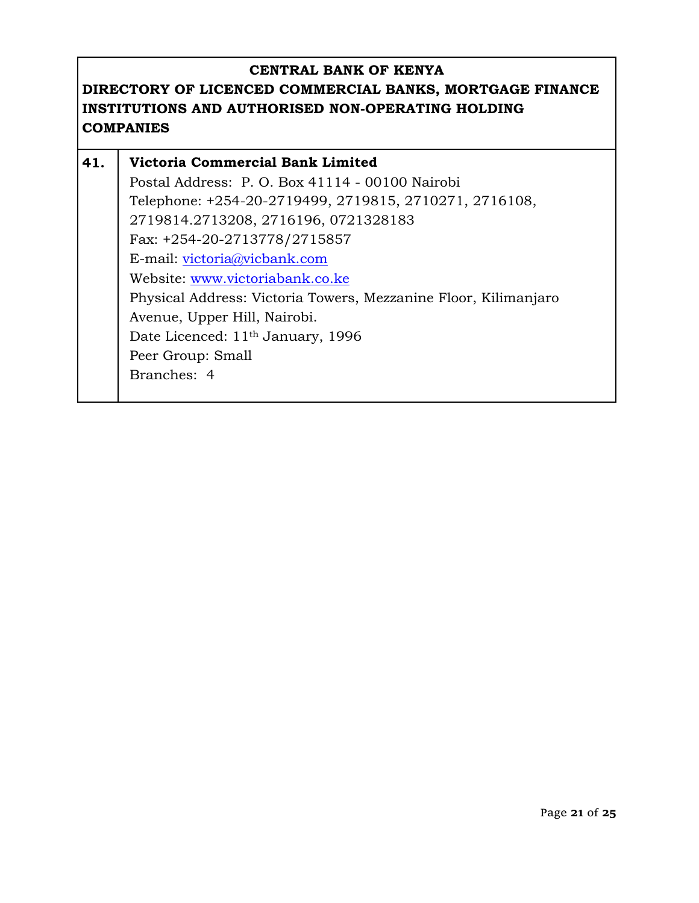| 41. | Victoria Commercial Bank Limited                                |
|-----|-----------------------------------------------------------------|
|     | Postal Address: P. O. Box 41114 - 00100 Nairobi                 |
|     | Telephone: +254-20-2719499, 2719815, 2710271, 2716108,          |
|     | 2719814.2713208, 2716196, 0721328183                            |
|     | Fax: +254-20-2713778/2715857                                    |
|     | E-mail: victoria@vicbank.com                                    |
|     | Website: www.victoriabank.co.ke                                 |
|     | Physical Address: Victoria Towers, Mezzanine Floor, Kilimanjaro |
|     | Avenue, Upper Hill, Nairobi.                                    |
|     | Date Licenced: 11 <sup>th</sup> January, 1996                   |
|     | Peer Group: Small                                               |
|     | Branches: 4                                                     |
|     |                                                                 |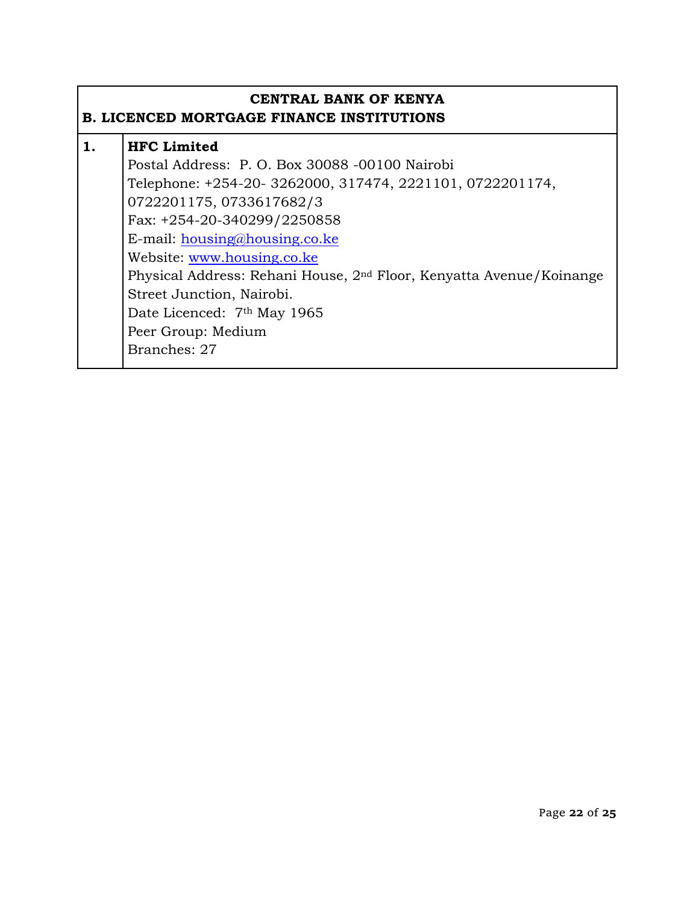#### **CENTRAL BANK OF KENYA B. LICENCED MORTGAGE FINANCE INSTITUTIONS**

| <b>HFC</b> Limited                                                              |
|---------------------------------------------------------------------------------|
| Postal Address: P. O. Box 30088 -00100 Nairobi                                  |
| Telephone: +254-20-3262000, 317474, 2221101, 0722201174,                        |
| 0722201175, 0733617682/3                                                        |
| Fax: +254-20-340299/2250858                                                     |
| E-mail: $housing@housing.co.ke$                                                 |
| Website: www.housing.co.ke                                                      |
| Physical Address: Rehani House, 2 <sup>nd</sup> Floor, Kenyatta Avenue/Koinange |
| Street Junction, Nairobi.                                                       |
| Date Licenced: 7 <sup>th</sup> May 1965                                         |
| Peer Group: Medium                                                              |
| Branches: 27                                                                    |
|                                                                                 |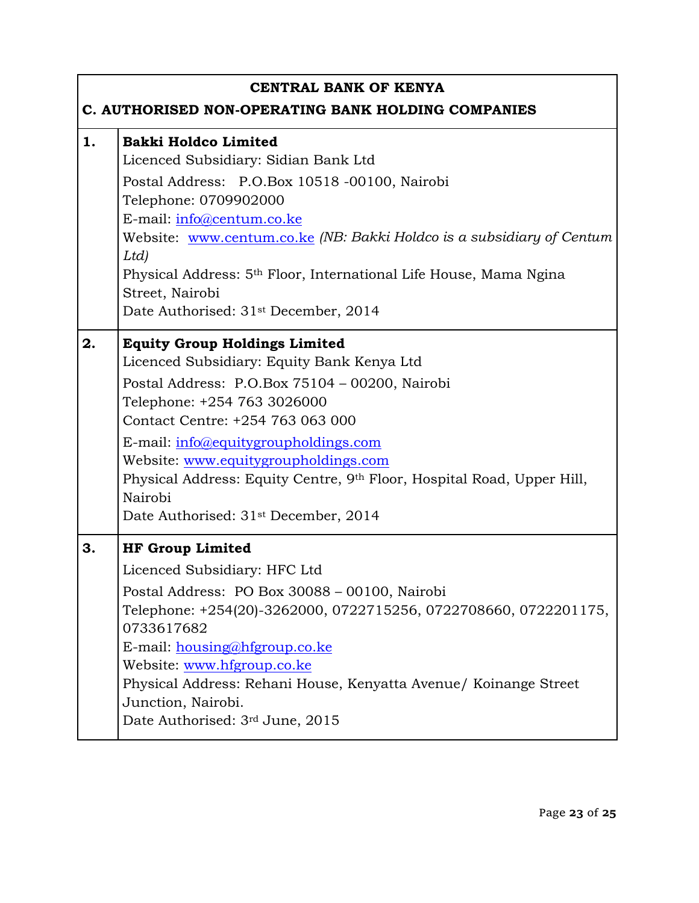|    | <b>CENTRAL BANK OF KENYA</b><br>C. AUTHORISED NON-OPERATING BANK HOLDING COMPANIES                                                                                                                                                                                                                                                                                                                                               |
|----|----------------------------------------------------------------------------------------------------------------------------------------------------------------------------------------------------------------------------------------------------------------------------------------------------------------------------------------------------------------------------------------------------------------------------------|
| 1. | <b>Bakki Holdco Limited</b><br>Licenced Subsidiary: Sidian Bank Ltd<br>Postal Address: P.O.Box 10518 -00100, Nairobi<br>Telephone: 0709902000<br>E-mail: info@centum.co.ke<br>Website: www.centum.co.ke (NB: Bakki Holdco is a subsidiary of Centum<br>Ltd)<br>Physical Address: 5 <sup>th</sup> Floor, International Life House, Mama Ngina<br>Street, Nairobi<br>Date Authorised: 31 <sup>st</sup> December, 2014              |
| 2. | <b>Equity Group Holdings Limited</b><br>Licenced Subsidiary: Equity Bank Kenya Ltd<br>Postal Address: P.O.Box 75104 - 00200, Nairobi<br>Telephone: +254 763 3026000<br>Contact Centre: +254 763 063 000<br>E-mail: info@equitygroupholdings.com<br>Website: www.equitygroupholdings.com<br>Physical Address: Equity Centre, 9th Floor, Hospital Road, Upper Hill,<br>Nairobi<br>Date Authorised: 31 <sup>st</sup> December, 2014 |
| 3. | <b>HF Group Limited</b><br>Licenced Subsidiary: HFC Ltd<br>Postal Address: PO Box 30088 - 00100, Nairobi<br>Telephone: +254(20)-3262000, 0722715256, 0722708660, 0722201175,<br>0733617682<br>E-mail: housing@hfgroup.co.ke<br>Website: www.hfgroup.co.ke<br>Physical Address: Rehani House, Kenyatta Avenue/ Koinange Street<br>Junction, Nairobi.<br>Date Authorised: 3rd June, 2015                                           |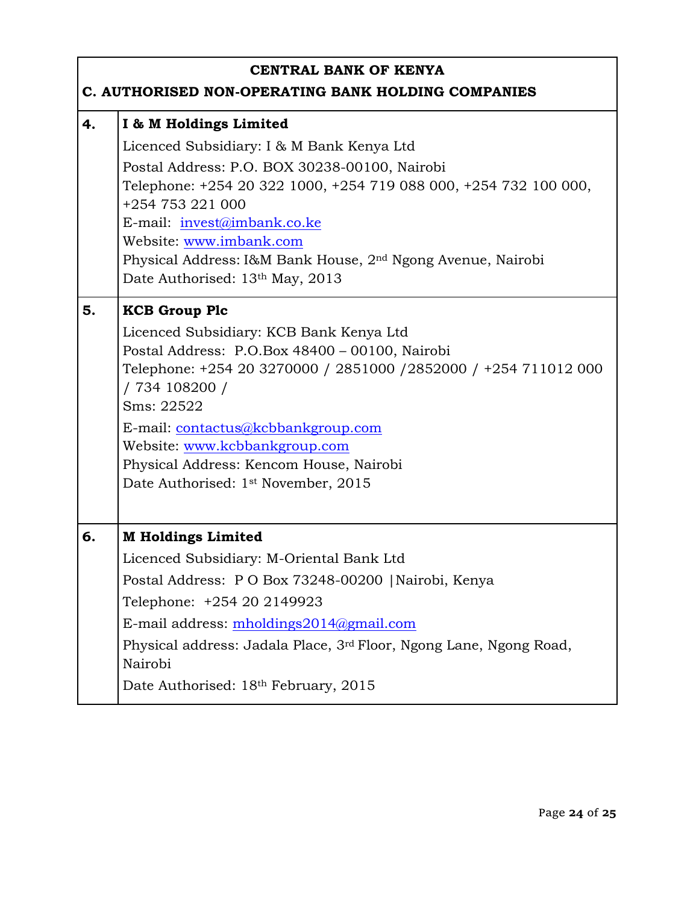|    | <b>CENTRAL BANK OF KENYA</b><br>C. AUTHORISED NON-OPERATING BANK HOLDING COMPANIES                                                                                                                                                                                                                                                                                                         |  |
|----|--------------------------------------------------------------------------------------------------------------------------------------------------------------------------------------------------------------------------------------------------------------------------------------------------------------------------------------------------------------------------------------------|--|
| 4. | I & M Holdings Limited<br>Licenced Subsidiary: I & M Bank Kenya Ltd<br>Postal Address: P.O. BOX 30238-00100, Nairobi<br>Telephone: +254 20 322 1000, +254 719 088 000, +254 732 100 000,<br>+254 753 221 000<br>E-mail: invest@imbank.co.ke<br>Website: www.imbank.com<br>Physical Address: I&M Bank House, 2 <sup>nd</sup> Ngong Avenue, Nairobi<br>Date Authorised: 13th May, 2013       |  |
| 5. | <b>KCB Group Plc</b><br>Licenced Subsidiary: KCB Bank Kenya Ltd<br>Postal Address: P.O.Box 48400 - 00100, Nairobi<br>Telephone: +254 20 3270000 / 2851000 / 2852000 / +254 711012 000<br>/ 734 108200 /<br>Sms: 22522<br>E-mail: contactus@kcbbankgroup.com<br>Website: www.kcbbankgroup.com<br>Physical Address: Kencom House, Nairobi<br>Date Authorised: 1 <sup>st</sup> November, 2015 |  |
| 6. | <b>M Holdings Limited</b><br>Licenced Subsidiary: M-Oriental Bank Ltd<br>Postal Address: PO Box 73248-00200   Nairobi, Kenya<br>Telephone: +254 20 2149923<br>E-mail address: $m$ holdings $2014$ @gmail.com<br>Physical address: Jadala Place, 3 <sup>rd</sup> Floor, Ngong Lane, Ngong Road,<br>Nairobi<br>Date Authorised: 18th February, 2015                                          |  |